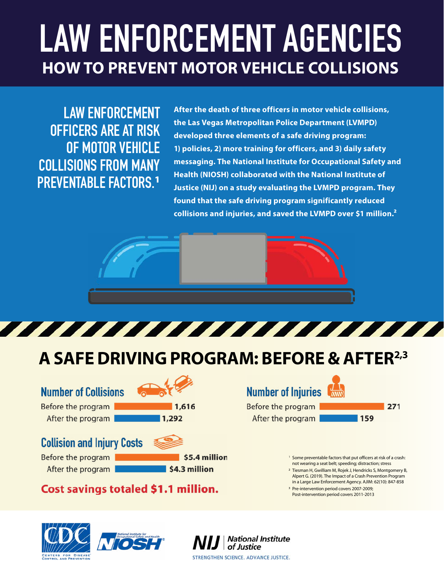# **LAW ENFORCEMENT AGENCIES HOW TO PREVENT MOTOR VEHICLE COLLISIONS**

**LAW ENFORCEMENT OFFICERS ARE AT RISK OF MOTOR VEHICLE COLLISIONS FROM MANY PREVENTABLE FACTORS.**<sup>1</sup>

developed three elements of a safe driving program: **After the death of three officers in motor vehicle collisions, the Las Vegas Metropolitan Police Department (LVMPD) developed three elements of a safe driving program: 1) policies, 2) more training for officers, and 3) daily safety messaging. The National Institute for Occupational Safety and Health (NIOSH) collaborated with the National Institute of Justice (NIJ) on a study evaluating the LVMPD program. They found that the safe driving program significantly reduced collisions and injuries, and saved the LVMPD over \$1 million.²** 





## **A SAFE DRIVING PROGRAM: BEFORE & AFTER2,3**

**Number of Collisions** 

Before the program After the program



### **Collision and** Injury **Costs** ~

Before the program After the program





**\$5.4 million \$4.3 million** 

#### **Cost savings totaled \$1.1 million.**





Before the program After the program

**271 159** 

<sup>1</sup> Some preventable factors that put officers at risk of a crash: not wearing a seat belt; speeding; distraction; stress

- <sup>2</sup> Tiesman H, Gwilliam M, Rojek J, Hendricks S, Montgomery B, Alpert G. (2019). The Impact of a Crash Prevention Program
- in a Large Law Enforcement Agency. AJIM: 62(10): 847-858 <sup>3</sup> Pre-intervention period covers 2007-2009;
- Post-intervention period covers 2011-2013